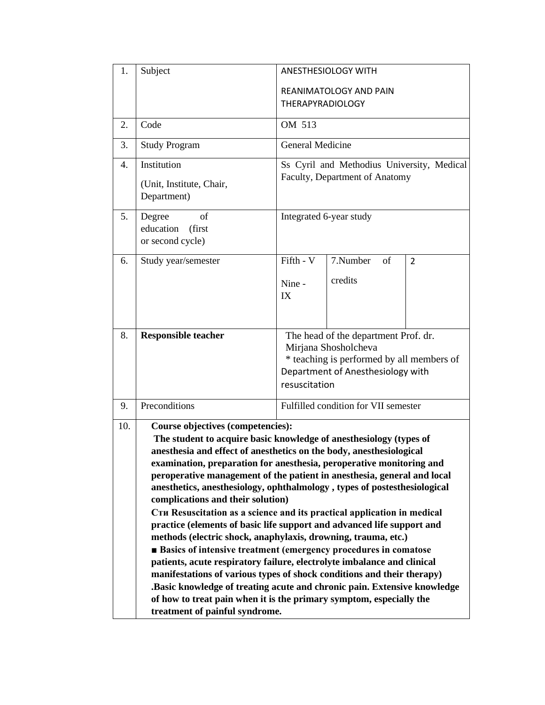| 1.  | Subject                                                                                                                                            | ANESTHESIOLOGY WITH                                                            |                                            |                |  |  |  |
|-----|----------------------------------------------------------------------------------------------------------------------------------------------------|--------------------------------------------------------------------------------|--------------------------------------------|----------------|--|--|--|
|     |                                                                                                                                                    | REANIMATOLOGY AND PAIN                                                         |                                            |                |  |  |  |
|     |                                                                                                                                                    | <b>THERAPYRADIOLOGY</b>                                                        |                                            |                |  |  |  |
| 2.  | Code                                                                                                                                               | OM 513                                                                         |                                            |                |  |  |  |
| 3.  | <b>Study Program</b>                                                                                                                               | General Medicine                                                               |                                            |                |  |  |  |
| 4.  | Institution                                                                                                                                        |                                                                                | Ss Cyril and Methodius University, Medical |                |  |  |  |
|     | (Unit, Institute, Chair,<br>Department)                                                                                                            | Faculty, Department of Anatomy                                                 |                                            |                |  |  |  |
| 5.  | Degree<br>of<br>education<br>(first<br>or second cycle)                                                                                            | Integrated 6-year study                                                        |                                            |                |  |  |  |
| 6.  | Study year/semester                                                                                                                                | Fifth - V                                                                      | 7.Number<br>of                             | $\overline{2}$ |  |  |  |
|     |                                                                                                                                                    | Nine -<br>IX                                                                   | credits                                    |                |  |  |  |
| 8.  | <b>Responsible teacher</b>                                                                                                                         |                                                                                |                                            |                |  |  |  |
|     |                                                                                                                                                    | The head of the department Prof. dr.<br>Mirjana Shosholcheva                   |                                            |                |  |  |  |
|     |                                                                                                                                                    | * teaching is performed by all members of<br>Department of Anesthesiology with |                                            |                |  |  |  |
|     |                                                                                                                                                    | resuscitation                                                                  |                                            |                |  |  |  |
| 9.  | Preconditions                                                                                                                                      | Fulfilled condition for VII semester                                           |                                            |                |  |  |  |
| 10. | <b>Course objectives (competencies):</b>                                                                                                           |                                                                                |                                            |                |  |  |  |
|     | The student to acquire basic knowledge of anesthesiology (types of                                                                                 |                                                                                |                                            |                |  |  |  |
|     | anesthesia and effect of anesthetics on the body, anesthesiological<br>examination, preparation for anesthesia, peroperative monitoring and        |                                                                                |                                            |                |  |  |  |
|     | peroperative management of the patient in anesthesia, general and local                                                                            |                                                                                |                                            |                |  |  |  |
|     | anesthetics, anesthesiology, ophthalmology, types of postesthesiological                                                                           |                                                                                |                                            |                |  |  |  |
|     | complications and their solution)                                                                                                                  |                                                                                |                                            |                |  |  |  |
|     | Сти Resuscitation as a science and its practical application in medical<br>practice (elements of basic life support and advanced life support and  |                                                                                |                                            |                |  |  |  |
|     | methods (electric shock, anaphylaxis, drowning, trauma, etc.)                                                                                      |                                                                                |                                            |                |  |  |  |
|     | ■ Basics of intensive treatment (emergency procedures in comatose                                                                                  |                                                                                |                                            |                |  |  |  |
|     | patients, acute respiratory failure, electrolyte imbalance and clinical                                                                            |                                                                                |                                            |                |  |  |  |
|     | manifestations of various types of shock conditions and their therapy)<br>.Basic knowledge of treating acute and chronic pain. Extensive knowledge |                                                                                |                                            |                |  |  |  |
|     | of how to treat pain when it is the primary symptom, especially the                                                                                |                                                                                |                                            |                |  |  |  |
|     | treatment of painful syndrome.                                                                                                                     |                                                                                |                                            |                |  |  |  |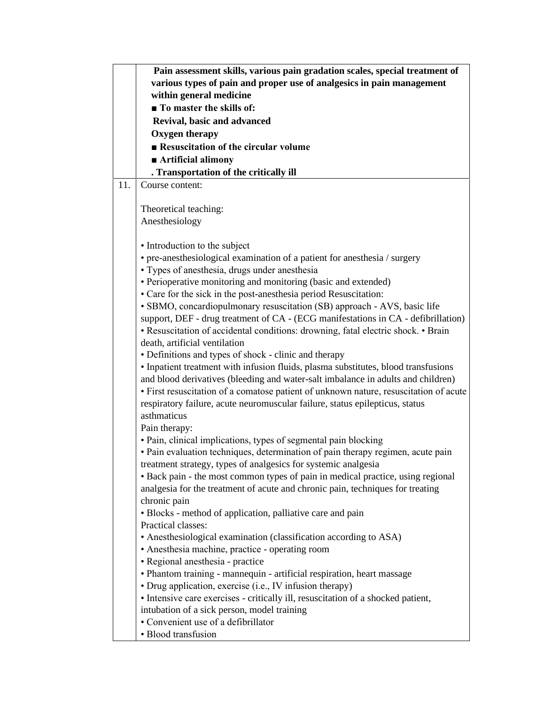|     | Pain assessment skills, various pain gradation scales, special treatment of                                                                  |  |  |  |  |  |
|-----|----------------------------------------------------------------------------------------------------------------------------------------------|--|--|--|--|--|
|     | various types of pain and proper use of analgesics in pain management                                                                        |  |  |  |  |  |
|     | within general medicine                                                                                                                      |  |  |  |  |  |
|     | ■ To master the skills of:                                                                                                                   |  |  |  |  |  |
|     | Revival, basic and advanced                                                                                                                  |  |  |  |  |  |
|     | Oxygen therapy                                                                                                                               |  |  |  |  |  |
|     | Resuscitation of the circular volume                                                                                                         |  |  |  |  |  |
|     | Artificial alimony                                                                                                                           |  |  |  |  |  |
|     | . Transportation of the critically ill                                                                                                       |  |  |  |  |  |
| 11. | Course content:                                                                                                                              |  |  |  |  |  |
|     |                                                                                                                                              |  |  |  |  |  |
|     | Theoretical teaching:                                                                                                                        |  |  |  |  |  |
|     | Anesthesiology                                                                                                                               |  |  |  |  |  |
|     |                                                                                                                                              |  |  |  |  |  |
|     | • Introduction to the subject                                                                                                                |  |  |  |  |  |
|     | • pre-anesthesiological examination of a patient for anesthesia / surgery                                                                    |  |  |  |  |  |
|     | • Types of anesthesia, drugs under anesthesia                                                                                                |  |  |  |  |  |
|     | • Perioperative monitoring and monitoring (basic and extended)                                                                               |  |  |  |  |  |
|     | • Care for the sick in the post-anesthesia period Resuscitation:                                                                             |  |  |  |  |  |
|     | • SBMO, concardiopulmonary resuscitation (SB) approach - AVS, basic life                                                                     |  |  |  |  |  |
|     | support, DEF - drug treatment of CA - (ECG manifestations in CA - defibrillation)                                                            |  |  |  |  |  |
|     | · Resuscitation of accidental conditions: drowning, fatal electric shock. • Brain                                                            |  |  |  |  |  |
|     | death, artificial ventilation                                                                                                                |  |  |  |  |  |
|     | • Definitions and types of shock - clinic and therapy                                                                                        |  |  |  |  |  |
|     | • Inpatient treatment with infusion fluids, plasma substitutes, blood transfusions                                                           |  |  |  |  |  |
|     | and blood derivatives (bleeding and water-salt imbalance in adults and children)                                                             |  |  |  |  |  |
|     | • First resuscitation of a comatose patient of unknown nature, resuscitation of acute                                                        |  |  |  |  |  |
|     | respiratory failure, acute neuromuscular failure, status epilepticus, status                                                                 |  |  |  |  |  |
|     | asthmaticus                                                                                                                                  |  |  |  |  |  |
|     | Pain therapy:                                                                                                                                |  |  |  |  |  |
|     | • Pain, clinical implications, types of segmental pain blocking                                                                              |  |  |  |  |  |
|     | · Pain evaluation techniques, determination of pain therapy regimen, acute pain                                                              |  |  |  |  |  |
|     | treatment strategy, types of analgesics for systemic analgesia                                                                               |  |  |  |  |  |
|     | • Back pain - the most common types of pain in medical practice, using regional                                                              |  |  |  |  |  |
|     | analgesia for the treatment of acute and chronic pain, techniques for treating                                                               |  |  |  |  |  |
|     | chronic pain                                                                                                                                 |  |  |  |  |  |
|     | • Blocks - method of application, palliative care and pain                                                                                   |  |  |  |  |  |
|     | Practical classes:                                                                                                                           |  |  |  |  |  |
|     | • Anesthesiological examination (classification according to ASA)                                                                            |  |  |  |  |  |
|     | • Anesthesia machine, practice - operating room                                                                                              |  |  |  |  |  |
|     | • Regional anesthesia - practice                                                                                                             |  |  |  |  |  |
|     | • Phantom training - mannequin - artificial respiration, heart massage                                                                       |  |  |  |  |  |
|     | • Drug application, exercise (i.e., IV infusion therapy)<br>· Intensive care exercises - critically ill, resuscitation of a shocked patient, |  |  |  |  |  |
|     | intubation of a sick person, model training                                                                                                  |  |  |  |  |  |
|     | • Convenient use of a defibrillator                                                                                                          |  |  |  |  |  |
|     | · Blood transfusion                                                                                                                          |  |  |  |  |  |
|     |                                                                                                                                              |  |  |  |  |  |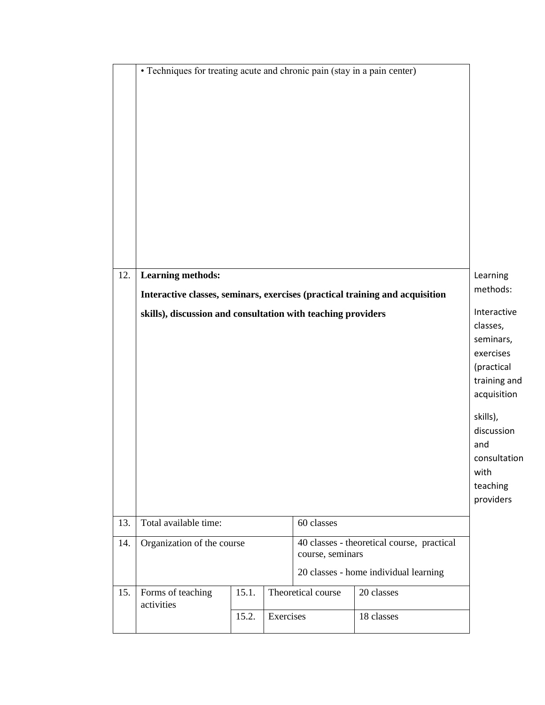|     | • Techniques for treating acute and chronic pain (stay in a pain center)                                                                     |                |           |                                                                |                                       |                                                                                                                                                                                  |
|-----|----------------------------------------------------------------------------------------------------------------------------------------------|----------------|-----------|----------------------------------------------------------------|---------------------------------------|----------------------------------------------------------------------------------------------------------------------------------------------------------------------------------|
| 12. | <b>Learning methods:</b>                                                                                                                     |                |           |                                                                |                                       | Learning                                                                                                                                                                         |
|     |                                                                                                                                              |                |           |                                                                |                                       | methods:                                                                                                                                                                         |
|     | Interactive classes, seminars, exercises (practical training and acquisition<br>skills), discussion and consultation with teaching providers |                |           |                                                                |                                       | Interactive<br>classes,<br>seminars,<br>exercises<br>(practical<br>training and<br>acquisition<br>skills),<br>discussion<br>and<br>consultation<br>with<br>teaching<br>providers |
| 13. | Total available time:<br>60 classes                                                                                                          |                |           |                                                                |                                       |                                                                                                                                                                                  |
| 14. | Organization of the course                                                                                                                   |                |           | 40 classes - theoretical course, practical<br>course, seminars |                                       |                                                                                                                                                                                  |
|     |                                                                                                                                              |                |           |                                                                | 20 classes - home individual learning |                                                                                                                                                                                  |
| 15. | Forms of teaching<br>activities                                                                                                              | 15.1.<br>15.2. | Exercises | Theoretical course                                             | 20 classes<br>18 classes              |                                                                                                                                                                                  |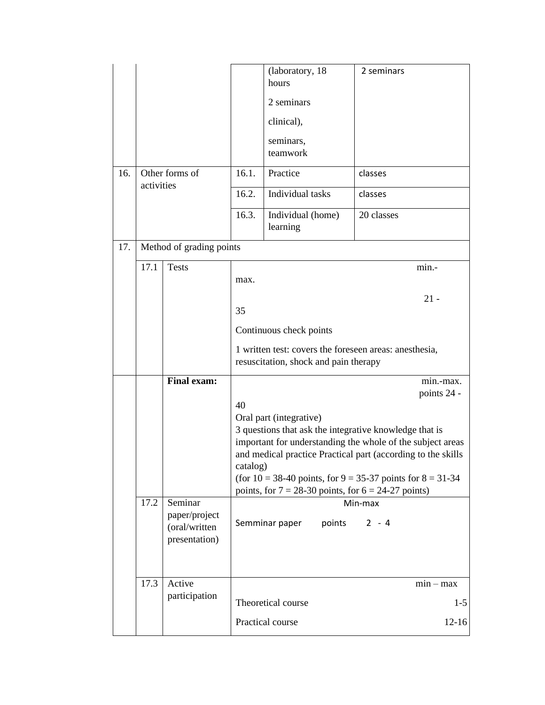|     |                              |                                                                                  |                                                                                                                                                                                                                                                                                                                                                                                                                                                | (laboratory, 18)<br>hours<br>2 seminars<br>clinical),<br>seminars,<br>teamwork | 2 seminars                          |  |  |
|-----|------------------------------|----------------------------------------------------------------------------------|------------------------------------------------------------------------------------------------------------------------------------------------------------------------------------------------------------------------------------------------------------------------------------------------------------------------------------------------------------------------------------------------------------------------------------------------|--------------------------------------------------------------------------------|-------------------------------------|--|--|
| 16. | Other forms of<br>activities |                                                                                  | 16.1.                                                                                                                                                                                                                                                                                                                                                                                                                                          | Practice                                                                       | classes                             |  |  |
|     |                              |                                                                                  | 16.2.                                                                                                                                                                                                                                                                                                                                                                                                                                          | Individual tasks                                                               | classes                             |  |  |
|     |                              |                                                                                  | 16.3.                                                                                                                                                                                                                                                                                                                                                                                                                                          | Individual (home)<br>learning                                                  | 20 classes                          |  |  |
| 17. |                              | Method of grading points                                                         |                                                                                                                                                                                                                                                                                                                                                                                                                                                |                                                                                |                                     |  |  |
|     | 17.1                         | <b>Tests</b>                                                                     | max.                                                                                                                                                                                                                                                                                                                                                                                                                                           |                                                                                | min.-                               |  |  |
|     |                              |                                                                                  |                                                                                                                                                                                                                                                                                                                                                                                                                                                |                                                                                | $21 -$                              |  |  |
|     |                              |                                                                                  | 35<br>Continuous check points                                                                                                                                                                                                                                                                                                                                                                                                                  |                                                                                |                                     |  |  |
|     |                              |                                                                                  | 1 written test: covers the foreseen areas: anesthesia,<br>resuscitation, shock and pain therapy                                                                                                                                                                                                                                                                                                                                                |                                                                                |                                     |  |  |
|     | 17.2                         | <b>Final exam:</b><br>Seminar<br>paper/project<br>(oral/written<br>presentation) | min.-max.<br>points 24 -<br>40<br>Oral part (integrative)<br>3 questions that ask the integrative knowledge that is<br>important for understanding the whole of the subject areas<br>and medical practice Practical part (according to the skills<br>catalog)<br>(for $10 = 38-40$ points, for $9 = 35-37$ points for $8 = 31-34$<br>points, for $7 = 28-30$ points, for $6 = 24-27$ points)<br>Min-max<br>Semminar paper<br>points<br>$2 - 4$ |                                                                                |                                     |  |  |
|     | 17.3                         | Active<br>participation                                                          |                                                                                                                                                                                                                                                                                                                                                                                                                                                | Theoretical course<br>Practical course                                         | $min - max$<br>$1 - 5$<br>$12 - 16$ |  |  |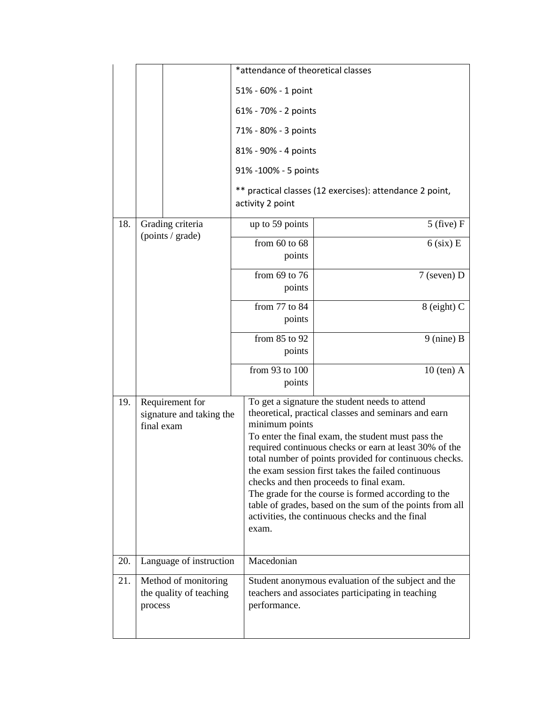|     |                                                            | *attendance of theoretical classes                                                                                                                                                                                                                                                                                                                                                                                                                                                                                                                                                 |  |  |  |
|-----|------------------------------------------------------------|------------------------------------------------------------------------------------------------------------------------------------------------------------------------------------------------------------------------------------------------------------------------------------------------------------------------------------------------------------------------------------------------------------------------------------------------------------------------------------------------------------------------------------------------------------------------------------|--|--|--|
|     |                                                            | 51% - 60% - 1 point                                                                                                                                                                                                                                                                                                                                                                                                                                                                                                                                                                |  |  |  |
|     |                                                            | 61% - 70% - 2 points                                                                                                                                                                                                                                                                                                                                                                                                                                                                                                                                                               |  |  |  |
|     |                                                            | 71% - 80% - 3 points                                                                                                                                                                                                                                                                                                                                                                                                                                                                                                                                                               |  |  |  |
|     |                                                            | 81% - 90% - 4 points                                                                                                                                                                                                                                                                                                                                                                                                                                                                                                                                                               |  |  |  |
|     |                                                            | 91% -100% - 5 points                                                                                                                                                                                                                                                                                                                                                                                                                                                                                                                                                               |  |  |  |
|     |                                                            | ** practical classes (12 exercises): attendance 2 point,<br>activity 2 point                                                                                                                                                                                                                                                                                                                                                                                                                                                                                                       |  |  |  |
| 18. | Grading criteria                                           | up to 59 points<br>$5$ (five) F                                                                                                                                                                                                                                                                                                                                                                                                                                                                                                                                                    |  |  |  |
|     | (points / grade)                                           | from $60$ to $68$<br>$6$ (six) E<br>points                                                                                                                                                                                                                                                                                                                                                                                                                                                                                                                                         |  |  |  |
|     |                                                            | from $69$ to $76$<br>$7$ (seven) D<br>points                                                                                                                                                                                                                                                                                                                                                                                                                                                                                                                                       |  |  |  |
|     |                                                            | from 77 to 84<br>$8$ (eight) C<br>points                                                                                                                                                                                                                                                                                                                                                                                                                                                                                                                                           |  |  |  |
|     |                                                            | from 85 to 92<br>$9$ (nine) B<br>points                                                                                                                                                                                                                                                                                                                                                                                                                                                                                                                                            |  |  |  |
|     |                                                            | from 93 to 100<br>$10$ (ten) A<br>points                                                                                                                                                                                                                                                                                                                                                                                                                                                                                                                                           |  |  |  |
| 19. | Requirement for<br>signature and taking the<br>final exam  | To get a signature the student needs to attend<br>theoretical, practical classes and seminars and earn<br>minimum points<br>To enter the final exam, the student must pass the<br>required continuous checks or earn at least 30% of the<br>total number of points provided for continuous checks.<br>the exam session first takes the failed continuous<br>checks and then proceeds to final exam.<br>The grade for the course is formed according to the<br>table of grades, based on the sum of the points from all<br>activities, the continuous checks and the final<br>exam. |  |  |  |
| 20. | Language of instruction                                    | Macedonian                                                                                                                                                                                                                                                                                                                                                                                                                                                                                                                                                                         |  |  |  |
| 21. | Method of monitoring<br>the quality of teaching<br>process | Student anonymous evaluation of the subject and the<br>teachers and associates participating in teaching<br>performance.                                                                                                                                                                                                                                                                                                                                                                                                                                                           |  |  |  |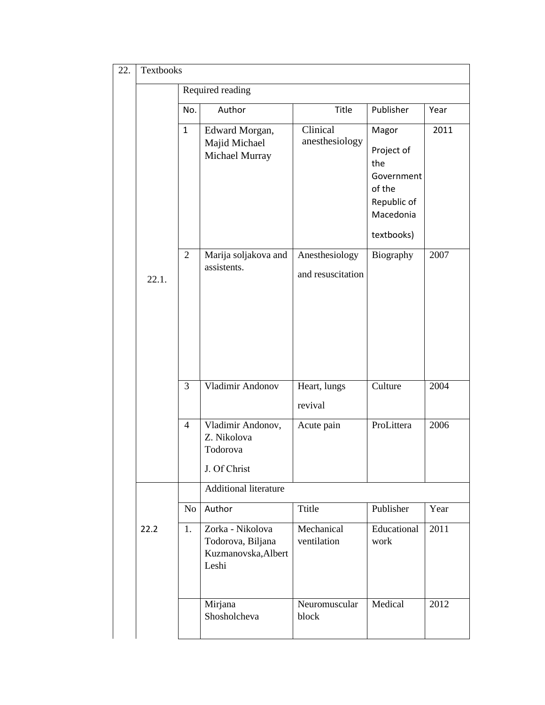|       | Textbooks      |                                                                       |                                     |                                                                                              |      |  |  |  |  |
|-------|----------------|-----------------------------------------------------------------------|-------------------------------------|----------------------------------------------------------------------------------------------|------|--|--|--|--|
|       |                | Required reading                                                      |                                     |                                                                                              |      |  |  |  |  |
|       | No.            | Author                                                                | Title                               | Publisher                                                                                    | Year |  |  |  |  |
|       | $\mathbf{1}$   | Edward Morgan,<br>Majid Michael<br>Michael Murray                     | Clinical<br>anesthesiology          | Magor<br>Project of<br>the<br>Government<br>of the<br>Republic of<br>Macedonia<br>textbooks) | 2011 |  |  |  |  |
| 22.1. | $\overline{2}$ | Marija soljakova and<br>assistents.                                   | Anesthesiology<br>and resuscitation | Biography                                                                                    | 2007 |  |  |  |  |
|       | 3              | Vladimir Andonov                                                      | Heart, lungs<br>revival             | Culture                                                                                      | 2004 |  |  |  |  |
|       | 4              | Vladimir Andonov,<br>Z. Nikolova<br>Todorova<br>J. Of Christ          | Acute pain                          | ProLittera                                                                                   | 2006 |  |  |  |  |
|       |                | <b>Additional literature</b>                                          |                                     |                                                                                              |      |  |  |  |  |
|       | No.            | Author                                                                | Ttitle                              | Publisher                                                                                    | Year |  |  |  |  |
| 22.2  | 1.             | Zorka - Nikolova<br>Todorova, Biljana<br>Kuzmanovska, Albert<br>Leshi | Mechanical<br>ventilation           | Educational<br>work                                                                          | 2011 |  |  |  |  |
|       |                | Mirjana<br>Shosholcheva                                               | Neuromuscular<br>block              | Medical                                                                                      | 2012 |  |  |  |  |